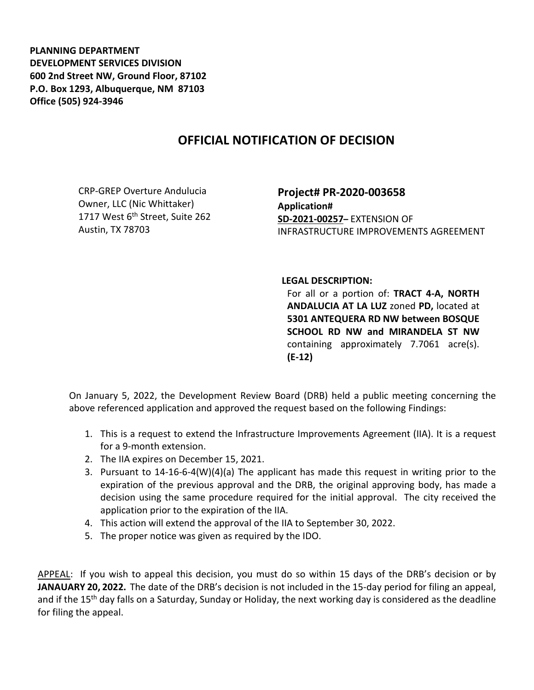**PLANNING DEPARTMENT DEVELOPMENT SERVICES DIVISION 600 2nd Street NW, Ground Floor, 87102 P.O. Box 1293, Albuquerque, NM 87103 Office (505) 924-3946** 

## **OFFICIAL NOTIFICATION OF DECISION**

CRP-GREP Overture Andulucia Owner, LLC (Nic Whittaker) 1717 West  $6<sup>th</sup>$  Street, Suite 262 Austin, TX 78703

**Project# PR-2020-003658 Application# SD-2021-00257–** EXTENSION OF INFRASTRUCTURE IMPROVEMENTS AGREEMENT

## **LEGAL DESCRIPTION:**

For all or a portion of: **TRACT 4-A, NORTH ANDALUCIA AT LA LUZ** zoned **PD,** located at **5301 ANTEQUERA RD NW between BOSQUE SCHOOL RD NW and MIRANDELA ST NW**  containing approximately 7.7061 acre(s). **(E-12)**

On January 5, 2022, the Development Review Board (DRB) held a public meeting concerning the above referenced application and approved the request based on the following Findings:

- 1. This is a request to extend the Infrastructure Improvements Agreement (IIA). It is a request for a 9-month extension.
- 2. The IIA expires on December 15, 2021.
- 3. Pursuant to 14-16-6-4(W)(4)(a) The applicant has made this request in writing prior to the expiration of the previous approval and the DRB, the original approving body, has made a decision using the same procedure required for the initial approval. The city received the application prior to the expiration of the IIA.
- 4. This action will extend the approval of the IIA to September 30, 2022.
- 5. The proper notice was given as required by the IDO.

APPEAL: If you wish to appeal this decision, you must do so within 15 days of the DRB's decision or by **JANAUARY 20, 2022.** The date of the DRB's decision is not included in the 15-day period for filing an appeal, and if the 15<sup>th</sup> day falls on a Saturday, Sunday or Holiday, the next working day is considered as the deadline for filing the appeal.